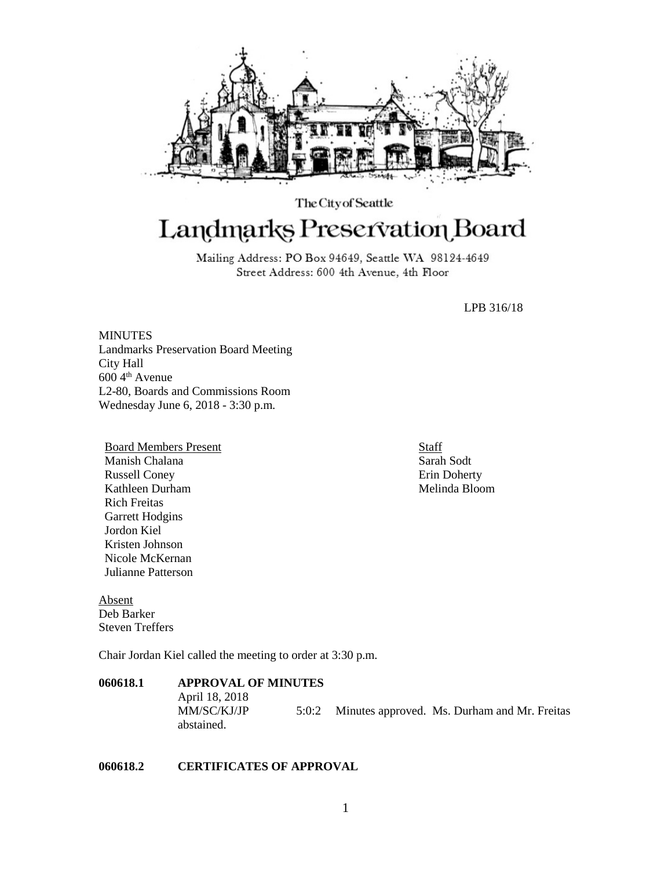

# The City of Seattle Landmarks Preservation Board

Mailing Address: PO Box 94649, Seattle WA 98124-4649 Street Address: 600 4th Avenue, 4th Floor

LPB 316/18

**MINUTES** Landmarks Preservation Board Meeting City Hall 600 4th Avenue L2-80, Boards and Commissions Room Wednesday June 6, 2018 - 3:30 p.m.

Board Members Present Manish Chalana Russell Coney Kathleen Durham Rich Freitas Garrett Hodgins Jordon Kiel Kristen Johnson Nicole McKernan Julianne Patterson

Absent Deb Barker Steven Treffers

Chair Jordan Kiel called the meeting to order at 3:30 p.m.

## **060618.1 APPROVAL OF MINUTES** April 18, 2018 MM/SC/KJ/JP 5:0:2 Minutes approved. Ms. Durham and Mr. Freitas abstained.

#### **060618.2 CERTIFICATES OF APPROVAL**

Staff Sarah Sodt Erin Doherty Melinda Bloom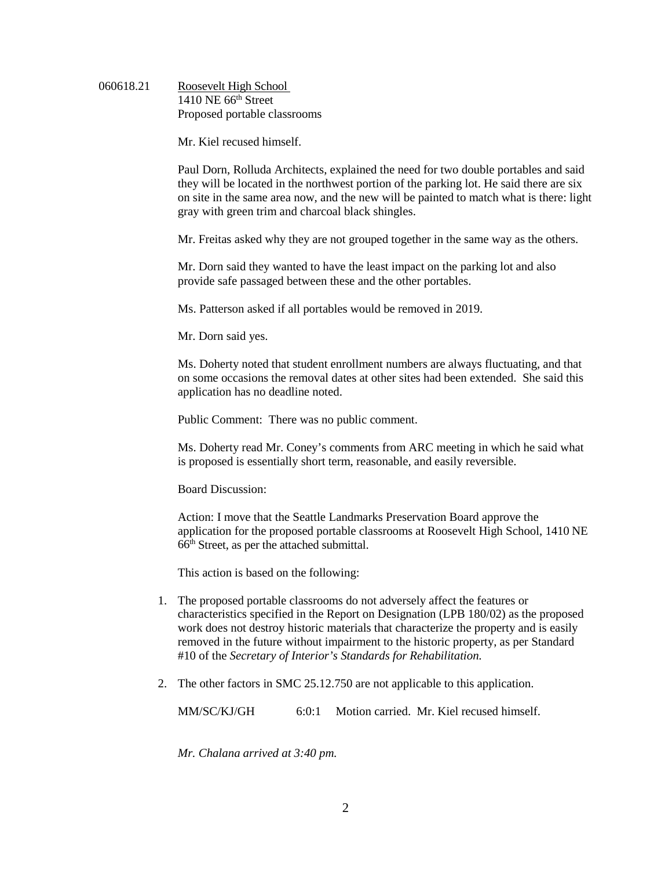### 060618.21 Roosevelt High School 1410 NE 66<sup>th</sup> Street Proposed portable classrooms

Mr. Kiel recused himself.

Paul Dorn, Rolluda Architects, explained the need for two double portables and said they will be located in the northwest portion of the parking lot. He said there are six on site in the same area now, and the new will be painted to match what is there: light gray with green trim and charcoal black shingles.

Mr. Freitas asked why they are not grouped together in the same way as the others.

Mr. Dorn said they wanted to have the least impact on the parking lot and also provide safe passaged between these and the other portables.

Ms. Patterson asked if all portables would be removed in 2019.

Mr. Dorn said yes.

Ms. Doherty noted that student enrollment numbers are always fluctuating, and that on some occasions the removal dates at other sites had been extended. She said this application has no deadline noted.

Public Comment: There was no public comment.

Ms. Doherty read Mr. Coney's comments from ARC meeting in which he said what is proposed is essentially short term, reasonable, and easily reversible.

Board Discussion:

Action: I move that the Seattle Landmarks Preservation Board approve the application for the proposed portable classrooms at Roosevelt High School, 1410 NE 66th Street, as per the attached submittal.

This action is based on the following:

- 1. The proposed portable classrooms do not adversely affect the features or characteristics specified in the Report on Designation (LPB 180/02) as the proposed work does not destroy historic materials that characterize the property and is easily removed in the future without impairment to the historic property, as per Standard #10 of the *Secretary of Interior's Standards for Rehabilitation.*
- 2. The other factors in SMC 25.12.750 are not applicable to this application.

MM/SC/KJ/GH 6:0:1 Motion carried. Mr. Kiel recused himself.

*Mr. Chalana arrived at 3:40 pm.*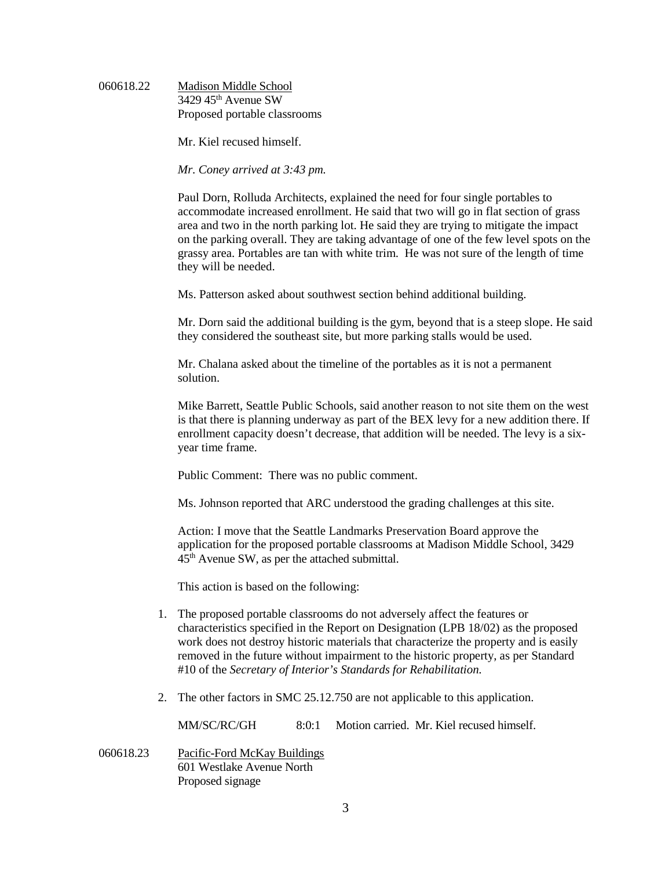#### 060618.22 Madison Middle School  $3429$  45<sup>th</sup> Avenue SW Proposed portable classrooms

Mr. Kiel recused himself.

*Mr. Coney arrived at 3:43 pm.*

Paul Dorn, Rolluda Architects, explained the need for four single portables to accommodate increased enrollment. He said that two will go in flat section of grass area and two in the north parking lot. He said they are trying to mitigate the impact on the parking overall. They are taking advantage of one of the few level spots on the grassy area. Portables are tan with white trim. He was not sure of the length of time they will be needed.

Ms. Patterson asked about southwest section behind additional building.

Mr. Dorn said the additional building is the gym, beyond that is a steep slope. He said they considered the southeast site, but more parking stalls would be used.

Mr. Chalana asked about the timeline of the portables as it is not a permanent solution.

Mike Barrett, Seattle Public Schools, said another reason to not site them on the west is that there is planning underway as part of the BEX levy for a new addition there. If enrollment capacity doesn't decrease, that addition will be needed. The levy is a sixyear time frame.

Public Comment: There was no public comment.

Ms. Johnson reported that ARC understood the grading challenges at this site.

Action: I move that the Seattle Landmarks Preservation Board approve the application for the proposed portable classrooms at Madison Middle School, 3429 45th Avenue SW, as per the attached submittal.

This action is based on the following:

- 1. The proposed portable classrooms do not adversely affect the features or characteristics specified in the Report on Designation (LPB 18/02) as the proposed work does not destroy historic materials that characterize the property and is easily removed in the future without impairment to the historic property, as per Standard #10 of the *Secretary of Interior's Standards for Rehabilitation.*
- 2. The other factors in SMC 25.12.750 are not applicable to this application.

MM/SC/RC/GH 8:0:1 Motion carried. Mr. Kiel recused himself.

060618.23 Pacific-Ford McKay Buildings 601 Westlake Avenue North Proposed signage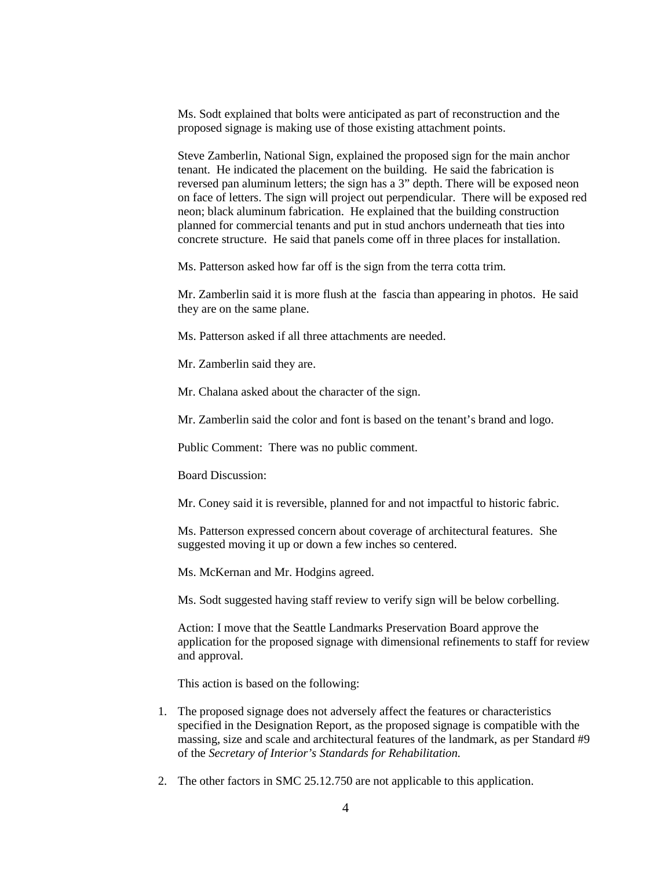Ms. Sodt explained that bolts were anticipated as part of reconstruction and the proposed signage is making use of those existing attachment points.

Steve Zamberlin, National Sign, explained the proposed sign for the main anchor tenant. He indicated the placement on the building. He said the fabrication is reversed pan aluminum letters; the sign has a 3" depth. There will be exposed neon on face of letters. The sign will project out perpendicular. There will be exposed red neon; black aluminum fabrication. He explained that the building construction planned for commercial tenants and put in stud anchors underneath that ties into concrete structure. He said that panels come off in three places for installation.

Ms. Patterson asked how far off is the sign from the terra cotta trim.

Mr. Zamberlin said it is more flush at the fascia than appearing in photos. He said they are on the same plane.

Ms. Patterson asked if all three attachments are needed.

Mr. Zamberlin said they are.

Mr. Chalana asked about the character of the sign.

Mr. Zamberlin said the color and font is based on the tenant's brand and logo.

Public Comment: There was no public comment.

Board Discussion:

Mr. Coney said it is reversible, planned for and not impactful to historic fabric.

Ms. Patterson expressed concern about coverage of architectural features. She suggested moving it up or down a few inches so centered.

Ms. McKernan and Mr. Hodgins agreed.

Ms. Sodt suggested having staff review to verify sign will be below corbelling.

Action: I move that the Seattle Landmarks Preservation Board approve the application for the proposed signage with dimensional refinements to staff for review and approval*.*

This action is based on the following:

- 1. The proposed signage does not adversely affect the features or characteristics specified in the Designation Report, as the proposed signage is compatible with the massing, size and scale and architectural features of the landmark, as per Standard #9 of the *Secretary of Interior's Standards for Rehabilitation.*
- 2. The other factors in SMC 25.12.750 are not applicable to this application.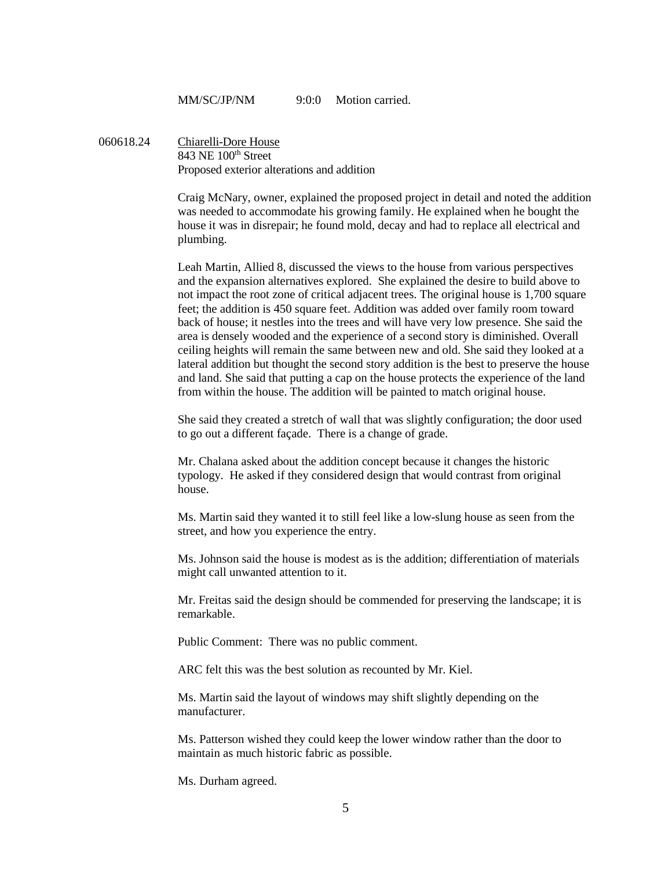MM/SC/JP/NM 9:0:0 Motion carried

060618.24 Chiarelli-Dore House 843 NE 100<sup>th</sup> Street Proposed exterior alterations and addition

> Craig McNary, owner, explained the proposed project in detail and noted the addition was needed to accommodate his growing family. He explained when he bought the house it was in disrepair; he found mold, decay and had to replace all electrical and plumbing.

> Leah Martin, Allied 8, discussed the views to the house from various perspectives and the expansion alternatives explored. She explained the desire to build above to not impact the root zone of critical adjacent trees. The original house is 1,700 square feet; the addition is 450 square feet. Addition was added over family room toward back of house; it nestles into the trees and will have very low presence. She said the area is densely wooded and the experience of a second story is diminished. Overall ceiling heights will remain the same between new and old. She said they looked at a lateral addition but thought the second story addition is the best to preserve the house and land. She said that putting a cap on the house protects the experience of the land from within the house. The addition will be painted to match original house.

She said they created a stretch of wall that was slightly configuration; the door used to go out a different façade. There is a change of grade.

Mr. Chalana asked about the addition concept because it changes the historic typology. He asked if they considered design that would contrast from original house.

Ms. Martin said they wanted it to still feel like a low-slung house as seen from the street, and how you experience the entry.

Ms. Johnson said the house is modest as is the addition; differentiation of materials might call unwanted attention to it.

Mr. Freitas said the design should be commended for preserving the landscape; it is remarkable.

Public Comment: There was no public comment.

ARC felt this was the best solution as recounted by Mr. Kiel.

Ms. Martin said the layout of windows may shift slightly depending on the manufacturer.

Ms. Patterson wished they could keep the lower window rather than the door to maintain as much historic fabric as possible.

Ms. Durham agreed.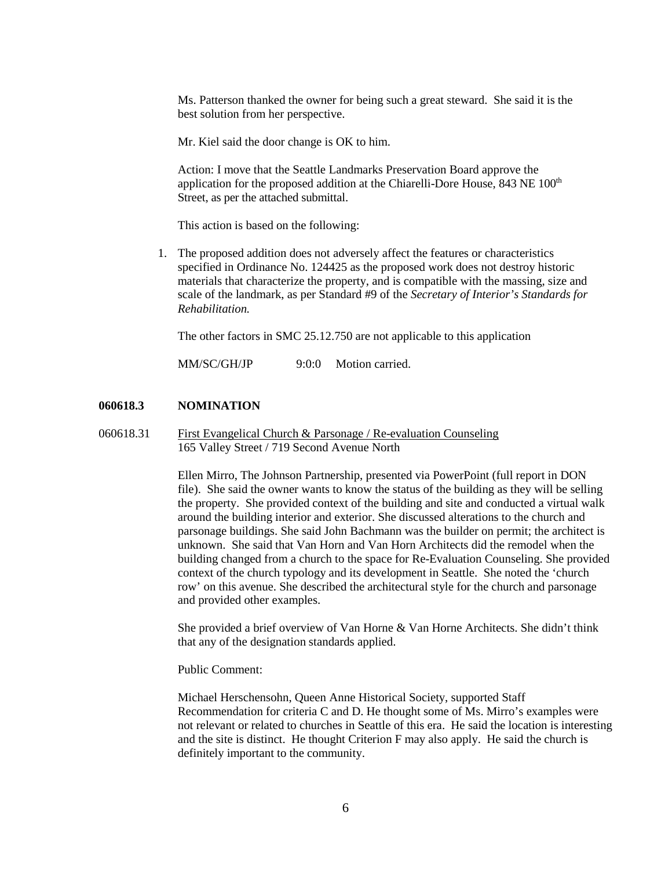Ms. Patterson thanked the owner for being such a great steward. She said it is the best solution from her perspective.

Mr. Kiel said the door change is OK to him.

Action: I move that the Seattle Landmarks Preservation Board approve the application for the proposed addition at the Chiarelli-Dore House, 843 NE 100<sup>th</sup> Street, as per the attached submittal.

This action is based on the following:

1. The proposed addition does not adversely affect the features or characteristics specified in Ordinance No. 124425 as the proposed work does not destroy historic materials that characterize the property, and is compatible with the massing, size and scale of the landmark, as per Standard #9 of the *Secretary of Interior's Standards for Rehabilitation.* 

The other factors in SMC 25.12.750 are not applicable to this application

MM/SC/GH/JP 9:0:0 Motion carried.

#### **060618.3 NOMINATION**

060618.31 First Evangelical Church & Parsonage / Re-evaluation Counseling 165 Valley Street / 719 Second Avenue North

> Ellen Mirro, The Johnson Partnership, presented via PowerPoint (full report in DON file). She said the owner wants to know the status of the building as they will be selling the property. She provided context of the building and site and conducted a virtual walk around the building interior and exterior. She discussed alterations to the church and parsonage buildings. She said John Bachmann was the builder on permit; the architect is unknown. She said that Van Horn and Van Horn Architects did the remodel when the building changed from a church to the space for Re-Evaluation Counseling. She provided context of the church typology and its development in Seattle. She noted the 'church row' on this avenue. She described the architectural style for the church and parsonage and provided other examples.

She provided a brief overview of Van Horne & Van Horne Architects. She didn't think that any of the designation standards applied.

## Public Comment:

Michael Herschensohn, Queen Anne Historical Society, supported Staff Recommendation for criteria C and D. He thought some of Ms. Mirro's examples were not relevant or related to churches in Seattle of this era. He said the location is interesting and the site is distinct. He thought Criterion F may also apply. He said the church is definitely important to the community.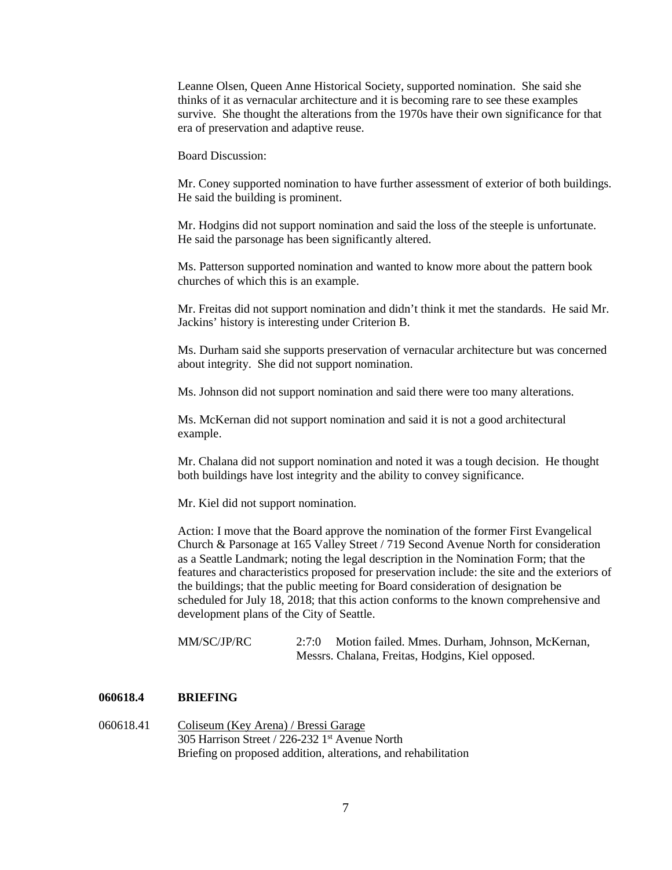Leanne Olsen, Queen Anne Historical Society, supported nomination. She said she thinks of it as vernacular architecture and it is becoming rare to see these examples survive. She thought the alterations from the 1970s have their own significance for that era of preservation and adaptive reuse.

Board Discussion:

Mr. Coney supported nomination to have further assessment of exterior of both buildings. He said the building is prominent.

Mr. Hodgins did not support nomination and said the loss of the steeple is unfortunate. He said the parsonage has been significantly altered.

Ms. Patterson supported nomination and wanted to know more about the pattern book churches of which this is an example.

Mr. Freitas did not support nomination and didn't think it met the standards. He said Mr. Jackins' history is interesting under Criterion B.

Ms. Durham said she supports preservation of vernacular architecture but was concerned about integrity. She did not support nomination.

Ms. Johnson did not support nomination and said there were too many alterations.

Ms. McKernan did not support nomination and said it is not a good architectural example.

Mr. Chalana did not support nomination and noted it was a tough decision. He thought both buildings have lost integrity and the ability to convey significance.

Mr. Kiel did not support nomination.

Action: I move that the Board approve the nomination of the former First Evangelical Church & Parsonage at 165 Valley Street / 719 Second Avenue North for consideration as a Seattle Landmark; noting the legal description in the Nomination Form; that the features and characteristics proposed for preservation include: the site and the exteriors of the buildings; that the public meeting for Board consideration of designation be scheduled for July 18, 2018; that this action conforms to the known comprehensive and development plans of the City of Seattle.

| MM/SC/JP/RC | 2:7:0 Motion failed. Mmes. Durham, Johnson, McKernan, |
|-------------|-------------------------------------------------------|
|             | Messrs. Chalana, Freitas, Hodgins, Kiel opposed.      |

#### **060618.4 BRIEFING**

060618.41 Coliseum (Key Arena) / Bressi Garage 305 Harrison Street / 226-232 1st Avenue North Briefing on proposed addition, alterations, and rehabilitation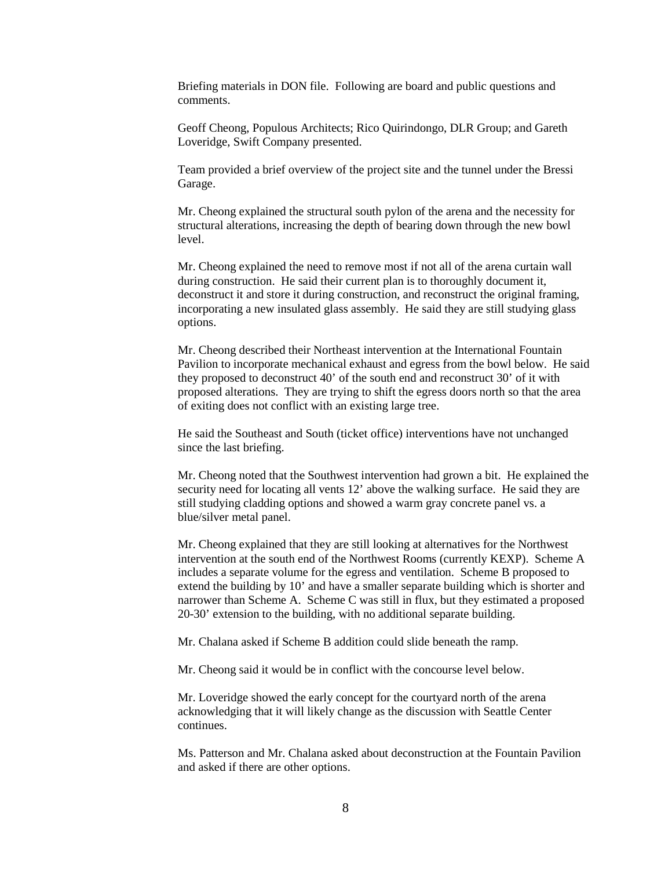Briefing materials in DON file. Following are board and public questions and comments.

Geoff Cheong, Populous Architects; Rico Quirindongo, DLR Group; and Gareth Loveridge, Swift Company presented.

Team provided a brief overview of the project site and the tunnel under the Bressi Garage.

Mr. Cheong explained the structural south pylon of the arena and the necessity for structural alterations, increasing the depth of bearing down through the new bowl level.

Mr. Cheong explained the need to remove most if not all of the arena curtain wall during construction. He said their current plan is to thoroughly document it, deconstruct it and store it during construction, and reconstruct the original framing, incorporating a new insulated glass assembly. He said they are still studying glass options.

Mr. Cheong described their Northeast intervention at the International Fountain Pavilion to incorporate mechanical exhaust and egress from the bowl below. He said they proposed to deconstruct 40' of the south end and reconstruct 30' of it with proposed alterations. They are trying to shift the egress doors north so that the area of exiting does not conflict with an existing large tree.

He said the Southeast and South (ticket office) interventions have not unchanged since the last briefing.

Mr. Cheong noted that the Southwest intervention had grown a bit. He explained the security need for locating all vents 12' above the walking surface. He said they are still studying cladding options and showed a warm gray concrete panel vs. a blue/silver metal panel.

Mr. Cheong explained that they are still looking at alternatives for the Northwest intervention at the south end of the Northwest Rooms (currently KEXP). Scheme A includes a separate volume for the egress and ventilation. Scheme B proposed to extend the building by 10' and have a smaller separate building which is shorter and narrower than Scheme A. Scheme C was still in flux, but they estimated a proposed 20-30' extension to the building, with no additional separate building.

Mr. Chalana asked if Scheme B addition could slide beneath the ramp.

Mr. Cheong said it would be in conflict with the concourse level below.

Mr. Loveridge showed the early concept for the courtyard north of the arena acknowledging that it will likely change as the discussion with Seattle Center continues.

Ms. Patterson and Mr. Chalana asked about deconstruction at the Fountain Pavilion and asked if there are other options.